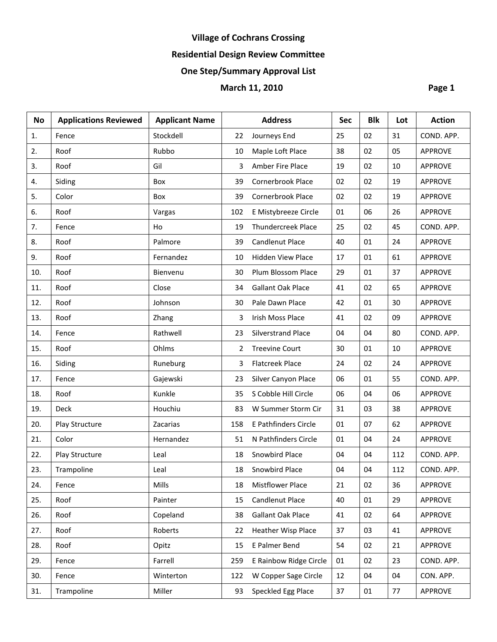# **Village of Cochrans Crossing**

## **Residential Design Review Committee**

## **One Step/Summary Approval List**

## **March 11, 2010 Page 1**

| <b>No</b> | <b>Applications Reviewed</b> | <b>Applicant Name</b> |     | <b>Address</b>            | <b>Sec</b> | <b>Blk</b> | Lot | <b>Action</b>  |
|-----------|------------------------------|-----------------------|-----|---------------------------|------------|------------|-----|----------------|
| 1.        | Fence                        | Stockdell             | 22  | Journeys End              | 25         | 02         | 31  | COND. APP.     |
| 2.        | Roof                         | Rubbo                 | 10  | Maple Loft Place          | 38         | 02         | 05  | <b>APPROVE</b> |
| 3.        | Roof                         | Gil                   | 3   | Amber Fire Place          | 19         | 02         | 10  | <b>APPROVE</b> |
| 4.        | Siding                       | Box                   | 39  | Cornerbrook Place         | 02         | 02         | 19  | <b>APPROVE</b> |
| 5.        | Color                        | Box                   | 39  | Cornerbrook Place         | 02         | 02         | 19  | <b>APPROVE</b> |
| 6.        | Roof                         | Vargas                | 102 | E Mistybreeze Circle      | 01         | 06         | 26  | <b>APPROVE</b> |
| 7.        | Fence                        | Ho                    | 19  | <b>Thundercreek Place</b> | 25         | 02         | 45  | COND. APP.     |
| 8.        | Roof                         | Palmore               | 39  | <b>Candlenut Place</b>    | 40         | 01         | 24  | <b>APPROVE</b> |
| 9.        | Roof                         | Fernandez             | 10  | <b>Hidden View Place</b>  | 17         | 01         | 61  | <b>APPROVE</b> |
| 10.       | Roof                         | Bienvenu              | 30  | Plum Blossom Place        | 29         | 01         | 37  | <b>APPROVE</b> |
| 11.       | Roof                         | Close                 | 34  | <b>Gallant Oak Place</b>  | 41         | 02         | 65  | <b>APPROVE</b> |
| 12.       | Roof                         | Johnson               | 30  | Pale Dawn Place           | 42         | 01         | 30  | <b>APPROVE</b> |
| 13.       | Roof                         | Zhang                 | 3   | Irish Moss Place          | 41         | 02         | 09  | <b>APPROVE</b> |
| 14.       | Fence                        | Rathwell              | 23  | <b>Silverstrand Place</b> | 04         | 04         | 80  | COND. APP.     |
| 15.       | Roof                         | Ohlms                 | 2   | <b>Treevine Court</b>     | 30         | 01         | 10  | <b>APPROVE</b> |
| 16.       | Siding                       | Runeburg              | 3   | <b>Flatcreek Place</b>    | 24         | 02         | 24  | <b>APPROVE</b> |
| 17.       | Fence                        | Gajewski              | 23  | Silver Canyon Place       | 06         | 01         | 55  | COND. APP.     |
| 18.       | Roof                         | Kunkle                | 35  | S Cobble Hill Circle      | 06         | 04         | 06  | <b>APPROVE</b> |
| 19.       | <b>Deck</b>                  | Houchiu               | 83  | W Summer Storm Cir        | 31         | 03         | 38  | <b>APPROVE</b> |
| 20.       | Play Structure               | Zacarias              | 158 | E Pathfinders Circle      | 01         | 07         | 62  | <b>APPROVE</b> |
| 21.       | Color                        | Hernandez             | 51  | N Pathfinders Circle      | 01         | 04         | 24  | <b>APPROVE</b> |
| 22.       | Play Structure               | Leal                  | 18  | Snowbird Place            | 04         | 04         | 112 | COND. APP.     |
| 23.       | Trampoline                   | Leal                  | 18  | Snowbird Place            | 04         | 04         | 112 | COND. APP.     |
| 24.       | Fence                        | Mills                 | 18  | <b>Mistflower Place</b>   | 21         | 02         | 36  | <b>APPROVE</b> |
| 25.       | Roof                         | Painter               | 15  | Candlenut Place           | 40         | 01         | 29  | <b>APPROVE</b> |
| 26.       | Roof                         | Copeland              | 38  | Gallant Oak Place         | 41         | 02         | 64  | <b>APPROVE</b> |
| 27.       | Roof                         | Roberts               | 22  | <b>Heather Wisp Place</b> | 37         | 03         | 41  | <b>APPROVE</b> |
| 28.       | Roof                         | Opitz                 | 15  | E Palmer Bend             | 54         | 02         | 21  | <b>APPROVE</b> |
| 29.       | Fence                        | Farrell               | 259 | E Rainbow Ridge Circle    | 01         | 02         | 23  | COND. APP.     |
| 30.       | Fence                        | Winterton             | 122 | W Copper Sage Circle      | 12         | 04         | 04  | CON. APP.      |
| 31.       | Trampoline                   | Miller                | 93  | Speckled Egg Place        | 37         | $01\,$     | 77  | APPROVE        |